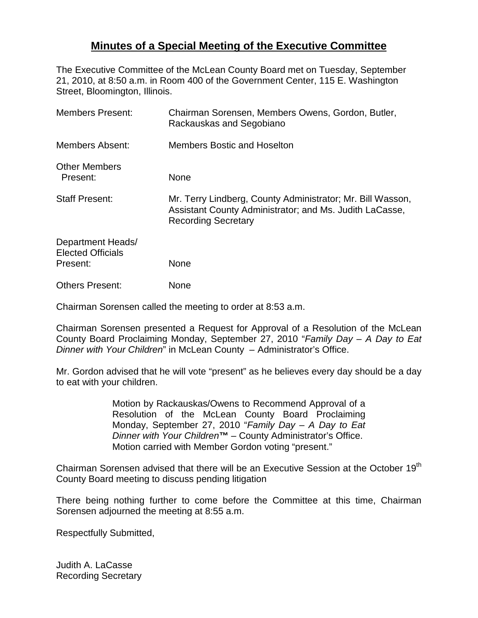## **Minutes of a Special Meeting of the Executive Committee**

The Executive Committee of the McLean County Board met on Tuesday, September 21, 2010, at 8:50 a.m. in Room 400 of the Government Center, 115 E. Washington Street, Bloomington, Illinois.

| <b>Members Present:</b>                                   | Chairman Sorensen, Members Owens, Gordon, Butler,<br>Rackauskas and Segobiano                                                                       |
|-----------------------------------------------------------|-----------------------------------------------------------------------------------------------------------------------------------------------------|
| <b>Members Absent:</b>                                    | <b>Members Bostic and Hoselton</b>                                                                                                                  |
| <b>Other Members</b><br>Present:                          | None                                                                                                                                                |
| <b>Staff Present:</b>                                     | Mr. Terry Lindberg, County Administrator; Mr. Bill Wasson,<br>Assistant County Administrator; and Ms. Judith LaCasse,<br><b>Recording Secretary</b> |
| Department Heads/<br><b>Elected Officials</b><br>Present: | <b>None</b>                                                                                                                                         |
| <b>Others Present:</b>                                    | None                                                                                                                                                |

Chairman Sorensen called the meeting to order at 8:53 a.m.

Chairman Sorensen presented a Request for Approval of a Resolution of the McLean County Board Proclaiming Monday, September 27, 2010 "*Family Day – A Day to Eat Dinner with Your Children*" in McLean County – Administrator's Office.

Mr. Gordon advised that he will vote "present" as he believes every day should be a day to eat with your children.

> Motion by Rackauskas/Owens to Recommend Approval of a Resolution of the McLean County Board Proclaiming Monday, September 27, 2010 "*Family Day – A Day to Eat Dinner with Your Children***™** – County Administrator's Office. Motion carried with Member Gordon voting "present."

Chairman Sorensen advised that there will be an Executive Session at the October 19<sup>th</sup> County Board meeting to discuss pending litigation

There being nothing further to come before the Committee at this time, Chairman Sorensen adjourned the meeting at 8:55 a.m.

Respectfully Submitted,

Judith A. LaCasse Recording Secretary